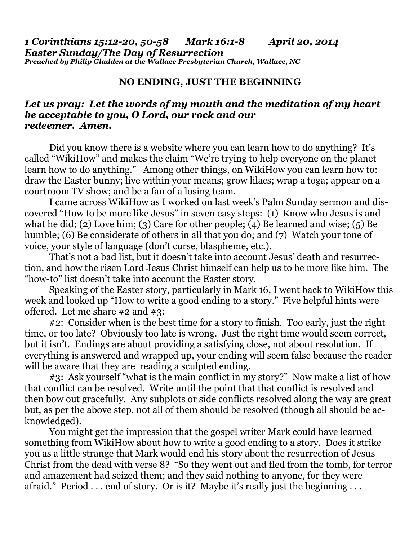*1 Corinthians 15:12-20, 50-58 Mark 16:1-8 April 20, 2014 Easter Sunday/The Day of Resurrection Preached by Philip Gladden at the Wallace Presbyterian Church, Wallace, NC*

## **NO ENDING, JUST THE BEGINNING**

## *Let us pray: Let the words of my mouth and the meditation of my heart be acceptable to you, O Lord, our rock and our redeemer. Amen.*

Did you know there is a website where you can learn how to do anything? It's called "WikiHow" and makes the claim "We're trying to help everyone on the planet learn how to do anything." Among other things, on WikiHow you can learn how to: draw the Easter bunny; live within your means; grow lilacs; wrap a toga; appear on a courtroom TV show; and be a fan of a losing team.

 I came across WikiHow as I worked on last week's Palm Sunday sermon and discovered "How to be more like Jesus" in seven easy steps: (1) Know who Jesus is and what he did; (2) Love him; (3) Care for other people; (4) Be learned and wise; (5) Be humble; (6) Be considerate of others in all that you do; and (7) Watch your tone of voice, your style of language (don't curse, blaspheme, etc.).

 That's not a bad list, but it doesn't take into account Jesus' death and resurrection, and how the risen Lord Jesus Christ himself can help us to be more like him. The "how-to" list doesn't take into account the Easter story.

 Speaking of the Easter story, particularly in Mark 16, I went back to WikiHow this week and looked up "How to write a good ending to a story." Five helpful hints were offered. Let me share #2 and #3:

 #2: Consider when is the best time for a story to finish. Too early, just the right time, or too late? Obviously too late is wrong. Just the right time would seem correct, but it isn't. Endings are about providing a satisfying close, not about resolution. If everything is answered and wrapped up, your ending will seem false because the reader will be aware that they are reading a sculpted ending.

 #3: Ask yourself "what is the main conflict in my story?" Now make a list of how that conflict can be resolved. Write until the point that that conflict is resolved and then bow out gracefully. Any subplots or side conflicts resolved along the way are great but, as per the above step, not all of them should be resolved (though all should be acknowledged).1

You might get the impression that the gospel writer Mark could have learned something from WikiHow about how to write a good ending to a story. Does it strike you as a little strange that Mark would end his story about the resurrection of Jesus Christ from the dead with verse 8? "So they went out and fled from the tomb, for terror and amazement had seized them; and they said nothing to anyone, for they were afraid." Period . . . end of story. Or is it? Maybe it's really just the beginning . . .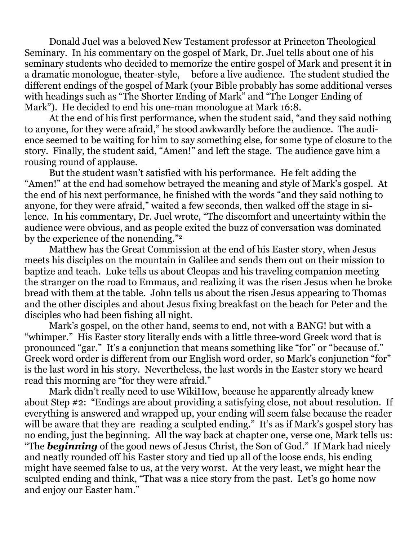Donald Juel was a beloved New Testament professor at Princeton Theological Seminary. In his commentary on the gospel of Mark, Dr. Juel tells about one of his seminary students who decided to memorize the entire gospel of Mark and present it in a dramatic monologue, theater-style, before a live audience. The student studied the different endings of the gospel of Mark (your Bible probably has some additional verses with headings such as "The Shorter Ending of Mark" and "The Longer Ending of Mark"). He decided to end his one-man monologue at Mark 16:8.

 At the end of his first performance, when the student said, "and they said nothing to anyone, for they were afraid," he stood awkwardly before the audience. The audience seemed to be waiting for him to say something else, for some type of closure to the story. Finally, the student said, "Amen!" and left the stage. The audience gave him a rousing round of applause.

 But the student wasn't satisfied with his performance. He felt adding the "Amen!" at the end had somehow betrayed the meaning and style of Mark's gospel. At the end of his next performance, he finished with the words "and they said nothing to anyone, for they were afraid," waited a few seconds, then walked off the stage in silence. In his commentary, Dr. Juel wrote, "The discomfort and uncertainty within the audience were obvious, and as people exited the buzz of conversation was dominated by the experience of the nonending."2

Matthew has the Great Commission at the end of his Easter story, when Jesus meets his disciples on the mountain in Galilee and sends them out on their mission to baptize and teach. Luke tells us about Cleopas and his traveling companion meeting the stranger on the road to Emmaus, and realizing it was the risen Jesus when he broke bread with them at the table. John tells us about the risen Jesus appearing to Thomas and the other disciples and about Jesus fixing breakfast on the beach for Peter and the disciples who had been fishing all night.

 Mark's gospel, on the other hand, seems to end, not with a BANG! but with a "whimper." His Easter story literally ends with a little three-word Greek word that is pronounced "gar." It's a conjunction that means something like "for" or "because of." Greek word order is different from our English word order, so Mark's conjunction "for" is the last word in his story. Nevertheless, the last words in the Easter story we heard read this morning are "for they were afraid."

 Mark didn't really need to use WikiHow, because he apparently already knew about Step #2: "Endings are about providing a satisfying close, not about resolution. If everything is answered and wrapped up, your ending will seem false because the reader will be aware that they are reading a sculpted ending." It's as if Mark's gospel story has no ending, just the beginning. All the way back at chapter one, verse one, Mark tells us: "The *beginning* of the good news of Jesus Christ, the Son of God." If Mark had nicely and neatly rounded off his Easter story and tied up all of the loose ends, his ending might have seemed false to us, at the very worst. At the very least, we might hear the sculpted ending and think, "That was a nice story from the past. Let's go home now and enjoy our Easter ham."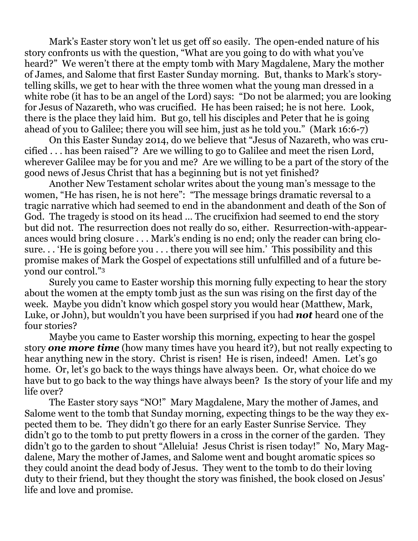Mark's Easter story won't let us get off so easily. The open-ended nature of his story confronts us with the question, "What are you going to do with what you've heard?" We weren't there at the empty tomb with Mary Magdalene, Mary the mother of James, and Salome that first Easter Sunday morning. But, thanks to Mark's storytelling skills, we get to hear with the three women what the young man dressed in a white robe (it has to be an angel of the Lord) says: "Do not be alarmed; you are looking for Jesus of Nazareth, who was crucified. He has been raised; he is not here. Look, there is the place they laid him. But go, tell his disciples and Peter that he is going ahead of you to Galilee; there you will see him, just as he told you." (Mark 16:6-7)

 On this Easter Sunday 2014, do we believe that "Jesus of Nazareth, who was crucified . . . has been raised"? Are we willing to go to Galilee and meet the risen Lord, wherever Galilee may be for you and me? Are we willing to be a part of the story of the good news of Jesus Christ that has a beginning but is not yet finished?

 Another New Testament scholar writes about the young man's message to the women, "He has risen, he is not here": "The message brings dramatic reversal to a tragic narrative which had seemed to end in the abandonment and death of the Son of God. The tragedy is stood on its head … The crucifixion had seemed to end the story but did not. The resurrection does not really do so, either. Resurrection-with-appearances would bring closure . . . Mark's ending is no end; only the reader can bring closure. . . 'He is going before you . . . there you will see him.' This possibility and this promise makes of Mark the Gospel of expectations still unfulfilled and of a future beyond our control."3

Surely you came to Easter worship this morning fully expecting to hear the story about the women at the empty tomb just as the sun was rising on the first day of the week. Maybe you didn't know which gospel story you would hear (Matthew, Mark, Luke, or John), but wouldn't you have been surprised if you had *not* heard one of the four stories?

 Maybe you came to Easter worship this morning, expecting to hear the gospel story *one more time* (how many times have you heard it?), but not really expecting to hear anything new in the story. Christ is risen! He is risen, indeed! Amen. Let's go home. Or, let's go back to the ways things have always been. Or, what choice do we have but to go back to the way things have always been? Is the story of your life and my life over?

 The Easter story says "NO!" Mary Magdalene, Mary the mother of James, and Salome went to the tomb that Sunday morning, expecting things to be the way they expected them to be. They didn't go there for an early Easter Sunrise Service. They didn't go to the tomb to put pretty flowers in a cross in the corner of the garden. They didn't go to the garden to shout "Alleluia! Jesus Christ is risen today!" No, Mary Magdalene, Mary the mother of James, and Salome went and bought aromatic spices so they could anoint the dead body of Jesus. They went to the tomb to do their loving duty to their friend, but they thought the story was finished, the book closed on Jesus' life and love and promise.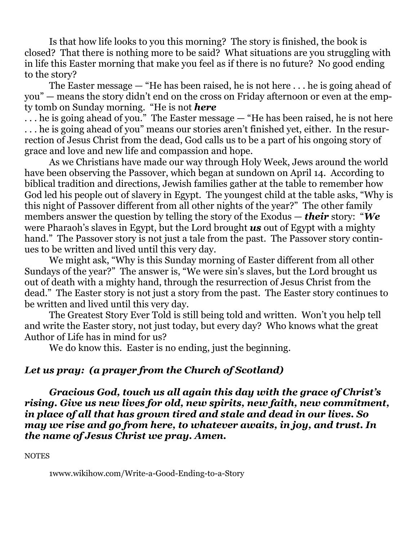Is that how life looks to you this morning? The story is finished, the book is closed? That there is nothing more to be said? What situations are you struggling with in life this Easter morning that make you feel as if there is no future? No good ending to the story?

 The Easter message — "He has been raised, he is not here . . . he is going ahead of you" — means the story didn't end on the cross on Friday afternoon or even at the empty tomb on Sunday morning. "He is not *here*

. . . he is going ahead of you." The Easter message — "He has been raised, he is not here . . . he is going ahead of you" means our stories aren't finished yet, either. In the resurrection of Jesus Christ from the dead, God calls us to be a part of his ongoing story of grace and love and new life and compassion and hope.

 As we Christians have made our way through Holy Week, Jews around the world have been observing the Passover, which began at sundown on April 14. According to biblical tradition and directions, Jewish families gather at the table to remember how God led his people out of slavery in Egypt. The youngest child at the table asks, "Why is this night of Passover different from all other nights of the year?" The other family members answer the question by telling the story of the Exodus — *their* story: "*We*  were Pharaoh's slaves in Egypt, but the Lord brought *us* out of Egypt with a mighty hand." The Passover story is not just a tale from the past. The Passover story continues to be written and lived until this very day.

 We might ask, "Why is this Sunday morning of Easter different from all other Sundays of the year?" The answer is, "We were sin's slaves, but the Lord brought us out of death with a mighty hand, through the resurrection of Jesus Christ from the dead." The Easter story is not just a story from the past. The Easter story continues to be written and lived until this very day.

 The Greatest Story Ever Told is still being told and written. Won't you help tell and write the Easter story, not just today, but every day? Who knows what the great Author of Life has in mind for us?

We do know this. Easter is no ending, just the beginning.

## *Let us pray: (a prayer from the Church of Scotland)*

 *Gracious God, touch us all again this day with the grace of Christ's rising. Give us new lives for old, new spirits, new faith, new commitment, in place of all that has grown tired and stale and dead in our lives. So may we rise and go from here, to whatever awaits, in joy, and trust. In the name of Jesus Christ we pray. Amen.* 

**NOTES** 

[1www.wikihow.com/Write-a-](http://1www.wikihow.com/Write-a)Good-Ending-to-a-Story